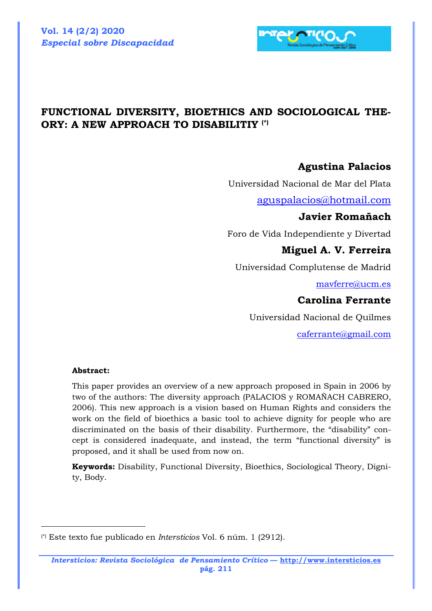

# **FUNCTIONAL DIVERSITY, BIOETHICS AND SOCIOLOGICAL THE-ORY: A NEW APPROACH TO DISABILITIY (\*)**

### **Agustina Palacios**

Universidad Nacional de Mar del Plata

aguspalacios@hotmail.com

#### **Javier Romañach**

Foro de Vida Independiente y Divertad

#### **Miguel A. V. Ferreira**

Universidad Complutense de Madrid

mavferre@ucm.es

### **Carolina Ferrante**

Universidad Nacional de Quilmes

caferrante@gmail.com

#### **Abstract:**

 $\overline{a}$ 

This paper provides an overview of a new approach proposed in Spain in 2006 by two of the authors: The diversity approach (PALACIOS y ROMAÑACH CABRERO, 2006). This new approach is a vision based on Human Rights and considers the work on the field of bioethics a basic tool to achieve dignity for people who are discriminated on the basis of their disability. Furthermore, the "disability" concept is considered inadequate, and instead, the term "functional diversity" is proposed, and it shall be used from now on.

**Keywords:** Disability, Functional Diversity, Bioethics, Sociological Theory, Dignity, Body.

<sup>(\*)</sup> Este texto fue publicado en *Intersticios* Vol. 6 núm. 1 (2912).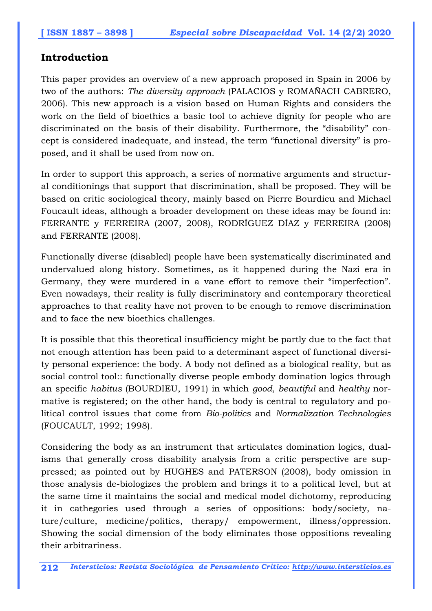### **Introduction**

This paper provides an overview of a new approach proposed in Spain in 2006 by two of the authors: *The diversity approach* (PALACIOS y ROMAÑACH CABRERO, 2006). This new approach is a vision based on Human Rights and considers the work on the field of bioethics a basic tool to achieve dignity for people who are discriminated on the basis of their disability. Furthermore, the "disability" concept is considered inadequate, and instead, the term "functional diversity" is proposed, and it shall be used from now on.

In order to support this approach, a series of normative arguments and structural conditionings that support that discrimination, shall be proposed. They will be based on critic sociological theory, mainly based on Pierre Bourdieu and Michael Foucault ideas, although a broader development on these ideas may be found in: FERRANTE y FERREIRA (2007, 2008), RODRÍGUEZ DÍAZ y FERREIRA (2008) and FERRANTE (2008).

Functionally diverse (disabled) people have been systematically discriminated and undervalued along history. Sometimes, as it happened during the Nazi era in Germany, they were murdered in a vane effort to remove their "imperfection". Even nowadays, their reality is fully discriminatory and contemporary theoretical approaches to that reality have not proven to be enough to remove discrimination and to face the new bioethics challenges.

It is possible that this theoretical insufficiency might be partly due to the fact that not enough attention has been paid to a determinant aspect of functional diversity personal experience: the body. A body not defined as a biological reality, but as social control tool:: functionally diverse people embody domination logics through an specific *habitus* (BOURDIEU, 1991) in which *good, beautiful* and *healthy* normative is registered; on the other hand, the body is central to regulatory and political control issues that come from *Bio-politics* and *Normalization Technologies*  (FOUCAULT, 1992; 1998).

Considering the body as an instrument that articulates domination logics, dualisms that generally cross disability analysis from a critic perspective are suppressed; as pointed out by HUGHES and PATERSON (2008), body omission in those analysis de-biologizes the problem and brings it to a political level, but at the same time it maintains the social and medical model dichotomy, reproducing it in cathegories used through a series of oppositions: body/society, nature/culture, medicine/politics, therapy/ empowerment, illness/oppression. Showing the social dimension of the body eliminates those oppositions revealing their arbitrariness.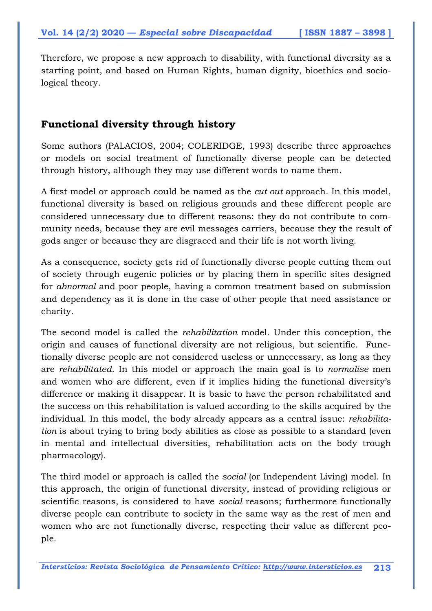Therefore, we propose a new approach to disability, with functional diversity as a starting point, and based on Human Rights, human dignity, bioethics and sociological theory.

# **Functional diversity through history**

Some authors (PALACIOS, 2004; COLERIDGE, 1993) describe three approaches or models on social treatment of functionally diverse people can be detected through history, although they may use different words to name them.

A first model or approach could be named as the *cut out* approach. In this model, functional diversity is based on religious grounds and these different people are considered unnecessary due to different reasons: they do not contribute to community needs, because they are evil messages carriers, because they the result of gods anger or because they are disgraced and their life is not worth living.

As a consequence, society gets rid of functionally diverse people cutting them out of society through eugenic policies or by placing them in specific sites designed for *abnormal* and poor people, having a common treatment based on submission and dependency as it is done in the case of other people that need assistance or charity.

The second model is called the *rehabilitation* model. Under this conception, the origin and causes of functional diversity are not religious, but scientific. Functionally diverse people are not considered useless or unnecessary, as long as they are *rehabilitated*. In this model or approach the main goal is to *normalise* men and women who are different, even if it implies hiding the functional diversity's difference or making it disappear. It is basic to have the person rehabilitated and the success on this rehabilitation is valued according to the skills acquired by the individual. In this model, the body already appears as a central issue: *rehabilitation* is about trying to bring body abilities as close as possible to a standard (even in mental and intellectual diversities, rehabilitation acts on the body trough pharmacology).

The third model or approach is called the *social* (or Independent Living) model. In this approach, the origin of functional diversity, instead of providing religious or scientific reasons, is considered to have *social* reasons; furthermore functionally diverse people can contribute to society in the same way as the rest of men and women who are not functionally diverse, respecting their value as different people.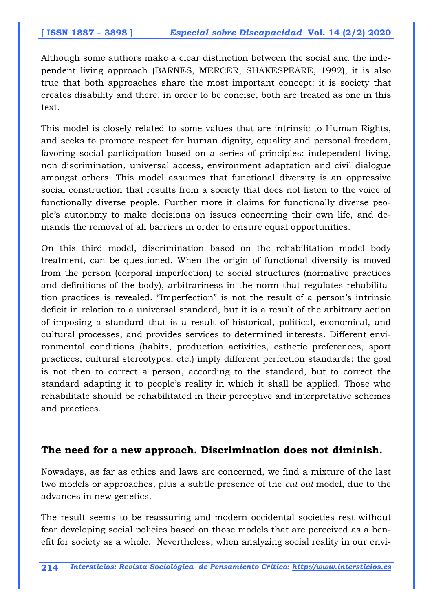Although some authors make a clear distinction between the social and the independent living approach (BARNES, MERCER, SHAKESPEARE, 1992), it is also true that both approaches share the most important concept: it is society that creates disability and there, in order to be concise, both are treated as one in this text.

This model is closely related to some values that are intrinsic to Human Rights, and seeks to promote respect for human dignity, equality and personal freedom, favoring social participation based on a series of principles: independent living, non discrimination, universal access, environment adaptation and civil dialogue amongst others. This model assumes that functional diversity is an oppressive social construction that results from a society that does not listen to the voice of functionally diverse people. Further more it claims for functionally diverse people's autonomy to make decisions on issues concerning their own life, and demands the removal of all barriers in order to ensure equal opportunities.

On this third model, discrimination based on the rehabilitation model body treatment, can be questioned. When the origin of functional diversity is moved from the person (corporal imperfection) to social structures (normative practices and definitions of the body), arbitrariness in the norm that regulates rehabilitation practices is revealed. "Imperfection" is not the result of a person's intrinsic deficit in relation to a universal standard, but it is a result of the arbitrary action of imposing a standard that is a result of historical, political, economical, and cultural processes, and provides services to determined interests. Different environmental conditions (habits, production activities, esthetic preferences, sport practices, cultural stereotypes, etc.) imply different perfection standards: the goal is not then to correct a person, according to the standard, but to correct the standard adapting it to people's reality in which it shall be applied. Those who rehabilitate should be rehabilitated in their perceptive and interpretative schemes and practices.

### **The need for a new approach. Discrimination does not diminish.**

Nowadays, as far as ethics and laws are concerned, we find a mixture of the last two models or approaches, plus a subtle presence of the *cut out* model, due to the advances in new genetics.

The result seems to be reassuring and modern occidental societies rest without fear developing social policies based on those models that are perceived as a benefit for society as a whole. Nevertheless, when analyzing social reality in our envi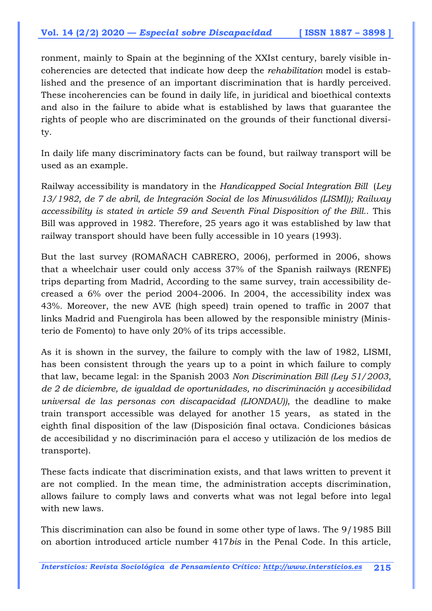ronment, mainly to Spain at the beginning of the XXIst century, barely visible incoherencies are detected that indicate how deep the *rehabilitation* model is established and the presence of an important discrimination that is hardly perceived. These incoherencies can be found in daily life, in juridical and bioethical contexts and also in the failure to abide what is established by laws that guarantee the rights of people who are discriminated on the grounds of their functional diversity.

In daily life many discriminatory facts can be found, but railway transport will be used as an example.

Railway accessibility is mandatory in the *Handicapped Social Integration Bill* (*Ley 13/1982, de 7 de abril, de Integración Social de los Minusválidos (LISMI)); Railway accessibility is stated in article 59 and Seventh Final Disposition of the Bill.*. This Bill was approved in 1982. Therefore, 25 years ago it was established by law that railway transport should have been fully accessible in 10 years (1993).

But the last survey (ROMAÑACH CABRERO, 2006), performed in 2006, shows that a wheelchair user could only access 37% of the Spanish railways (RENFE) trips departing from Madrid, According to the same survey, train accessibility decreased a 6% over the period 2004-2006. In 2004, the accessibility index was 43%. Moreover, the new AVE (high speed) train opened to traffic in 2007 that links Madrid and Fuengirola has been allowed by the responsible ministry (Ministerio de Fomento) to have only 20% of its trips accessible.

As it is shown in the survey, the failure to comply with the law of 1982, LISMI, has been consistent through the years up to a point in which failure to comply that law, became legal: in the Spanish 2003 *Non Discrimination Bill (Ley 51/2003, de 2 de diciembre, de igualdad de oportunidades, no discriminación y accesibilidad universal de las personas con discapacidad (LIONDAU))*, the deadline to make train transport accessible was delayed for another 15 years, as stated in the eighth final disposition of the law (Disposición final octava. Condiciones básicas de accesibilidad y no discriminación para el acceso y utilización de los medios de transporte).

These facts indicate that discrimination exists, and that laws written to prevent it are not complied. In the mean time, the administration accepts discrimination, allows failure to comply laws and converts what was not legal before into legal with new laws.

This discrimination can also be found in some other type of laws. The 9/1985 Bill on abortion introduced article number 417*bis* in the Penal Code. In this article,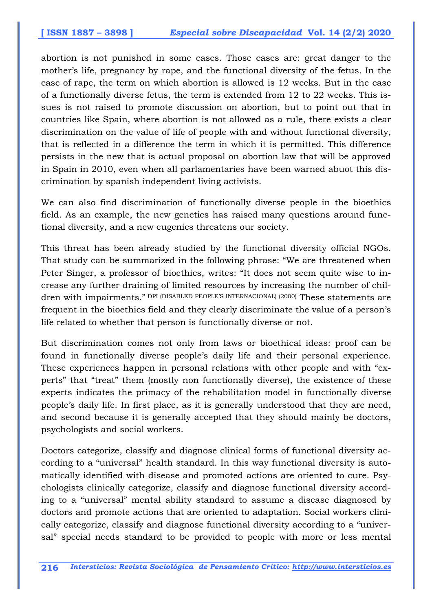abortion is not punished in some cases. Those cases are: great danger to the mother's life, pregnancy by rape, and the functional diversity of the fetus. In the case of rape, the term on which abortion is allowed is 12 weeks. But in the case of a functionally diverse fetus, the term is extended from 12 to 22 weeks. This issues is not raised to promote discussion on abortion, but to point out that in countries like Spain, where abortion is not allowed as a rule, there exists a clear discrimination on the value of life of people with and without functional diversity, that is reflected in a difference the term in which it is permitted. This difference persists in the new that is actual proposal on abortion law that will be approved in Spain in 2010, even when all parlamentaries have been warned abuot this discrimination by spanish independent living activists.

We can also find discrimination of functionally diverse people in the bioethics field. As an example, the new genetics has raised many questions around functional diversity, and a new eugenics threatens our society.

This threat has been already studied by the functional diversity official NGOs. That study can be summarized in the following phrase: "We are threatened when Peter Singer, a professor of bioethics, writes: "It does not seem quite wise to increase any further draining of limited resources by increasing the number of children with impairments." DPI (DISABLED PEOPLE'S INTERNACIONAL) (2000) These statements are frequent in the bioethics field and they clearly discriminate the value of a person's life related to whether that person is functionally diverse or not.

But discrimination comes not only from laws or bioethical ideas: proof can be found in functionally diverse people's daily life and their personal experience. These experiences happen in personal relations with other people and with "experts" that "treat" them (mostly non functionally diverse), the existence of these experts indicates the primacy of the rehabilitation model in functionally diverse people's daily life. In first place, as it is generally understood that they are need, and second because it is generally accepted that they should mainly be doctors, psychologists and social workers.

Doctors categorize, classify and diagnose clinical forms of functional diversity according to a "universal" health standard. In this way functional diversity is automatically identified with disease and promoted actions are oriented to cure. Psychologists clinically categorize, classify and diagnose functional diversity according to a "universal" mental ability standard to assume a disease diagnosed by doctors and promote actions that are oriented to adaptation. Social workers clinically categorize, classify and diagnose functional diversity according to a "universal" special needs standard to be provided to people with more or less mental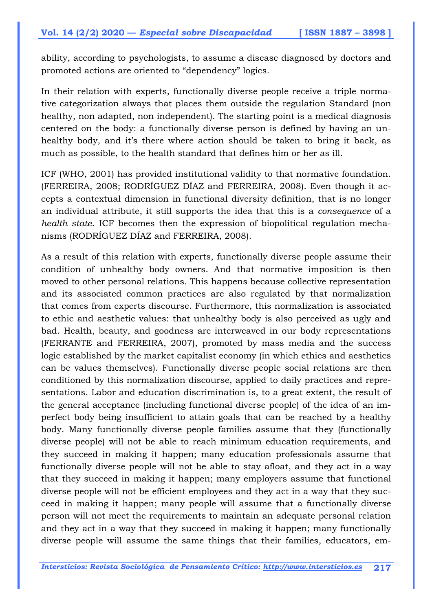ability, according to psychologists, to assume a disease diagnosed by doctors and promoted actions are oriented to "dependency" logics.

In their relation with experts, functionally diverse people receive a triple normative categorization always that places them outside the regulation Standard (non healthy, non adapted, non independent). The starting point is a medical diagnosis centered on the body: a functionally diverse person is defined by having an unhealthy body, and it's there where action should be taken to bring it back, as much as possible, to the health standard that defines him or her as ill.

ICF (WHO, 2001) has provided institutional validity to that normative foundation. (FERREIRA, 2008; RODRÍGUEZ DÍAZ and FERREIRA, 2008). Even though it accepts a contextual dimension in functional diversity definition, that is no longer an individual attribute, it still supports the idea that this is a *consequence* of a *health state*. ICF becomes then the expression of biopolitical regulation mechanisms (RODRÍGUEZ DÍAZ and FERREIRA, 2008).

As a result of this relation with experts, functionally diverse people assume their condition of unhealthy body owners. And that normative imposition is then moved to other personal relations. This happens because collective representation and its associated common practices are also regulated by that normalization that comes from experts discourse. Furthermore, this normalization is associated to ethic and aesthetic values: that unhealthy body is also perceived as ugly and bad. Health, beauty, and goodness are interweaved in our body representations (FERRANTE and FERREIRA, 2007), promoted by mass media and the success logic established by the market capitalist economy (in which ethics and aesthetics can be values themselves). Functionally diverse people social relations are then conditioned by this normalization discourse, applied to daily practices and representations. Labor and education discrimination is, to a great extent, the result of the general acceptance (including functional diverse people) of the idea of an imperfect body being insufficient to attain goals that can be reached by a healthy body. Many functionally diverse people families assume that they (functionally diverse people) will not be able to reach minimum education requirements, and they succeed in making it happen; many education professionals assume that functionally diverse people will not be able to stay afloat, and they act in a way that they succeed in making it happen; many employers assume that functional diverse people will not be efficient employees and they act in a way that they succeed in making it happen; many people will assume that a functionally diverse person will not meet the requirements to maintain an adequate personal relation and they act in a way that they succeed in making it happen; many functionally diverse people will assume the same things that their families, educators, em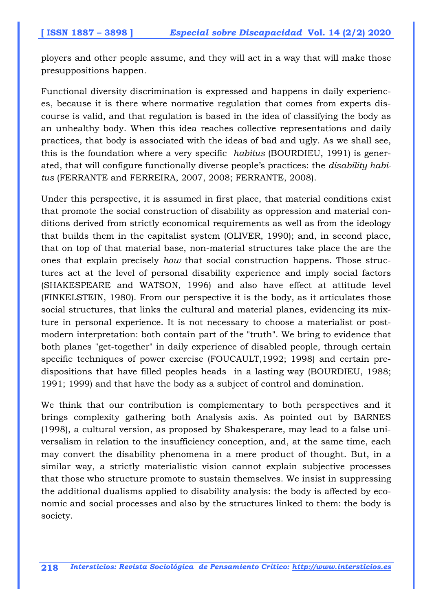ployers and other people assume, and they will act in a way that will make those presuppositions happen.

Functional diversity discrimination is expressed and happens in daily experiences, because it is there where normative regulation that comes from experts discourse is valid, and that regulation is based in the idea of classifying the body as an unhealthy body. When this idea reaches collective representations and daily practices, that body is associated with the ideas of bad and ugly. As we shall see, this is the foundation where a very specific *habitus* (BOURDIEU, 1991) is generated, that will configure functionally diverse people's practices: the *disability habitus* (FERRANTE and FERREIRA, 2007, 2008; FERRANTE, 2008).

Under this perspective, it is assumed in first place, that material conditions exist that promote the social construction of disability as oppression and material conditions derived from strictly economical requirements as well as from the ideology that builds them in the capitalist system (OLIVER, 1990); and, in second place, that on top of that material base, non-material structures take place the are the ones that explain precisely *how* that social construction happens. Those structures act at the level of personal disability experience and imply social factors (SHAKESPEARE and WATSON, 1996) and also have effect at attitude level (FINKELSTEIN, 1980). From our perspective it is the body, as it articulates those social structures, that links the cultural and material planes, evidencing its mixture in personal experience. It is not necessary to choose a materialist or postmodern interpretation: both contain part of the "truth". We bring to evidence that both planes "get-together" in daily experience of disabled people, through certain specific techniques of power exercise (FOUCAULT,1992; 1998) and certain predispositions that have filled peoples heads in a lasting way (BOURDIEU, 1988; 1991; 1999) and that have the body as a subject of control and domination.

We think that our contribution is complementary to both perspectives and it brings complexity gathering both Analysis axis. As pointed out by BARNES (1998), a cultural version, as proposed by Shakesperare, may lead to a false universalism in relation to the insufficiency conception, and, at the same time, each may convert the disability phenomena in a mere product of thought. But, in a similar way, a strictly materialistic vision cannot explain subjective processes that those who structure promote to sustain themselves. We insist in suppressing the additional dualisms applied to disability analysis: the body is affected by economic and social processes and also by the structures linked to them: the body is society.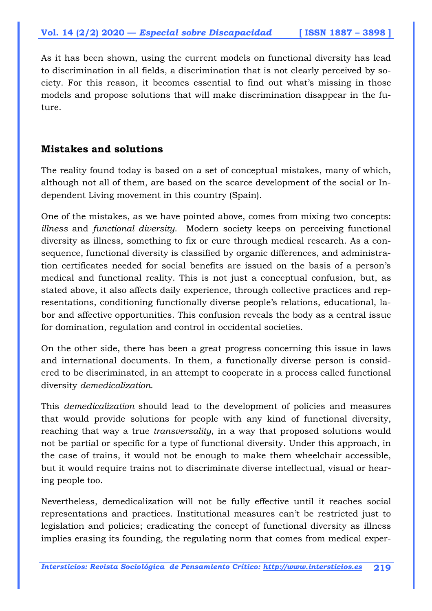As it has been shown, using the current models on functional diversity has lead to discrimination in all fields, a discrimination that is not clearly perceived by society. For this reason, it becomes essential to find out what's missing in those models and propose solutions that will make discrimination disappear in the future.

### **Mistakes and solutions**

The reality found today is based on a set of conceptual mistakes, many of which, although not all of them, are based on the scarce development of the social or Independent Living movement in this country (Spain).

One of the mistakes, as we have pointed above, comes from mixing two concepts: *illness* and *functional diversity*. Modern society keeps on perceiving functional diversity as illness, something to fix or cure through medical research. As a consequence, functional diversity is classified by organic differences, and administration certificates needed for social benefits are issued on the basis of a person's medical and functional reality. This is not just a conceptual confusion, but, as stated above, it also affects daily experience, through collective practices and representations, conditioning functionally diverse people's relations, educational, labor and affective opportunities. This confusion reveals the body as a central issue for domination, regulation and control in occidental societies.

On the other side, there has been a great progress concerning this issue in laws and international documents. In them, a functionally diverse person is considered to be discriminated, in an attempt to cooperate in a process called functional diversity *demedicalization*.

This *demedicalization* should lead to the development of policies and measures that would provide solutions for people with any kind of functional diversity, reaching that way a true *transversality*, in a way that proposed solutions would not be partial or specific for a type of functional diversity. Under this approach, in the case of trains, it would not be enough to make them wheelchair accessible, but it would require trains not to discriminate diverse intellectual, visual or hearing people too.

Nevertheless, demedicalization will not be fully effective until it reaches social representations and practices. Institutional measures can't be restricted just to legislation and policies; eradicating the concept of functional diversity as illness implies erasing its founding, the regulating norm that comes from medical exper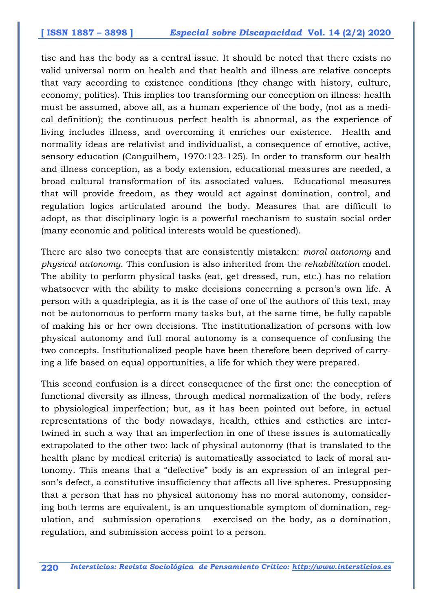tise and has the body as a central issue. It should be noted that there exists no valid universal norm on health and that health and illness are relative concepts that vary according to existence conditions (they change with history, culture, economy, politics). This implies too transforming our conception on illness: health must be assumed, above all, as a human experience of the body, (not as a medical definition); the continuous perfect health is abnormal, as the experience of living includes illness, and overcoming it enriches our existence. Health and normality ideas are relativist and individualist, a consequence of emotive, active, sensory education (Canguilhem, 1970:123-125). In order to transform our health and illness conception, as a body extension, educational measures are needed, a broad cultural transformation of its associated values. Educational measures that will provide freedom, as they would act against domination, control, and regulation logics articulated around the body. Measures that are difficult to adopt, as that disciplinary logic is a powerful mechanism to sustain social order (many economic and political interests would be questioned).

There are also two concepts that are consistently mistaken: *moral autonomy* and *physical autonomy*. This confusion is also inherited from the *rehabilitation* model. The ability to perform physical tasks (eat, get dressed, run, etc.) has no relation whatsoever with the ability to make decisions concerning a person's own life. A person with a quadriplegia, as it is the case of one of the authors of this text, may not be autonomous to perform many tasks but, at the same time, be fully capable of making his or her own decisions. The institutionalization of persons with low physical autonomy and full moral autonomy is a consequence of confusing the two concepts. Institutionalized people have been therefore been deprived of carrying a life based on equal opportunities, a life for which they were prepared.

This second confusion is a direct consequence of the first one: the conception of functional diversity as illness, through medical normalization of the body, refers to physiological imperfection; but, as it has been pointed out before, in actual representations of the body nowadays, health, ethics and esthetics are intertwined in such a way that an imperfection in one of these issues is automatically extrapolated to the other two: lack of physical autonomy (that is translated to the health plane by medical criteria) is automatically associated to lack of moral autonomy. This means that a "defective" body is an expression of an integral person's defect, a constitutive insufficiency that affects all live spheres. Presupposing that a person that has no physical autonomy has no moral autonomy, considering both terms are equivalent, is an unquestionable symptom of domination, regulation, and submission operations exercised on the body, as a domination, regulation, and submission access point to a person.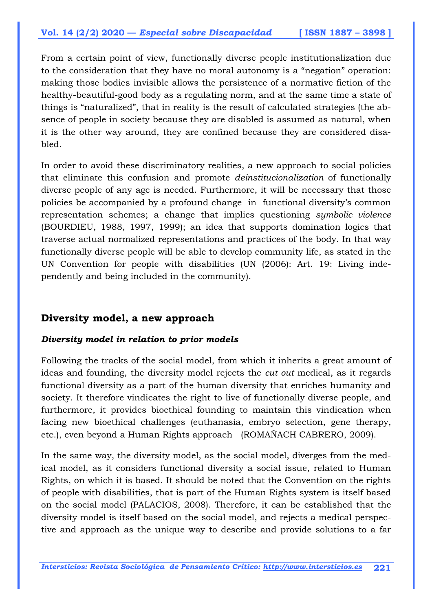From a certain point of view, functionally diverse people institutionalization due to the consideration that they have no moral autonomy is a "negation" operation: making those bodies invisible allows the persistence of a normative fiction of the healthy-beautiful-good body as a regulating norm, and at the same time a state of things is "naturalized", that in reality is the result of calculated strategies (the absence of people in society because they are disabled is assumed as natural, when it is the other way around, they are confined because they are considered disabled.

In order to avoid these discriminatory realities, a new approach to social policies that eliminate this confusion and promote *deinstitucionalization* of functionally diverse people of any age is needed. Furthermore, it will be necessary that those policies be accompanied by a profound change in functional diversity's common representation schemes; a change that implies questioning *symbolic violence* (BOURDIEU, 1988, 1997, 1999); an idea that supports domination logics that traverse actual normalized representations and practices of the body. In that way functionally diverse people will be able to develop community life, as stated in the UN Convention for people with disabilities (UN (2006): Art. 19: Living independently and being included in the community).

### **Diversity model, a new approach**

#### *Diversity model in relation to prior models*

Following the tracks of the social model, from which it inherits a great amount of ideas and founding, the diversity model rejects the *cut out* medical, as it regards functional diversity as a part of the human diversity that enriches humanity and society. It therefore vindicates the right to live of functionally diverse people, and furthermore, it provides bioethical founding to maintain this vindication when facing new bioethical challenges (euthanasia, embryo selection, gene therapy, etc.), even beyond a Human Rights approach (ROMAÑACH CABRERO, 2009).

In the same way, the diversity model, as the social model, diverges from the medical model, as it considers functional diversity a social issue, related to Human Rights, on which it is based. It should be noted that the Convention on the rights of people with disabilities, that is part of the Human Rights system is itself based on the social model (PALACIOS, 2008). Therefore, it can be established that the diversity model is itself based on the social model, and rejects a medical perspective and approach as the unique way to describe and provide solutions to a far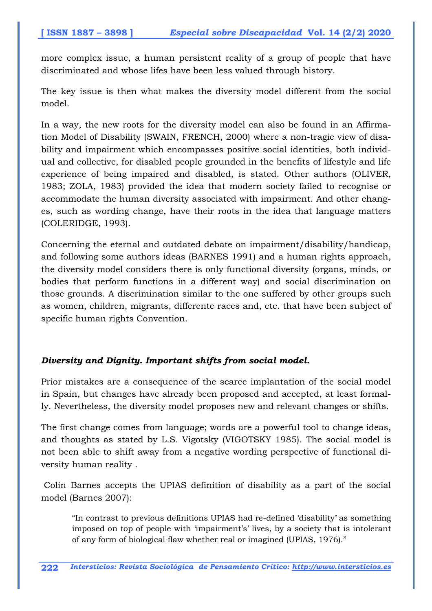more complex issue, a human persistent reality of a group of people that have discriminated and whose lifes have been less valued through history.

The key issue is then what makes the diversity model different from the social model.

In a way, the new roots for the diversity model can also be found in an Affirmation Model of Disability (SWAIN, FRENCH, 2000) where a non-tragic view of disability and impairment which encompasses positive social identities, both individual and collective, for disabled people grounded in the benefits of lifestyle and life experience of being impaired and disabled, is stated. Other authors (OLIVER, 1983; ZOLA, 1983) provided the idea that modern society failed to recognise or accommodate the human diversity associated with impairment. And other changes, such as wording change, have their roots in the idea that language matters (COLERIDGE, 1993).

Concerning the eternal and outdated debate on impairment/disability/handicap, and following some authors ideas (BARNES 1991) and a human rights approach, the diversity model considers there is only functional diversity (organs, minds, or bodies that perform functions in a different way) and social discrimination on those grounds. A discrimination similar to the one suffered by other groups such as women, children, migrants, differente races and, etc. that have been subject of specific human rights Convention.

#### *Diversity and Dignity. Important shifts from social model.*

Prior mistakes are a consequence of the scarce implantation of the social model in Spain, but changes have already been proposed and accepted, at least formally. Nevertheless, the diversity model proposes new and relevant changes or shifts.

The first change comes from language; words are a powerful tool to change ideas, and thoughts as stated by L.S. Vigotsky (VIGOTSKY 1985). The social model is not been able to shift away from a negative wording perspective of functional diversity human reality .

 Colin Barnes accepts the UPIAS definition of disability as a part of the social model (Barnes 2007):

"In contrast to previous definitions UPIAS had re-defined 'disability' as something imposed on top of people with 'impairment's' lives, by a society that is intolerant of any form of biological flaw whether real or imagined (UPIAS, 1976)."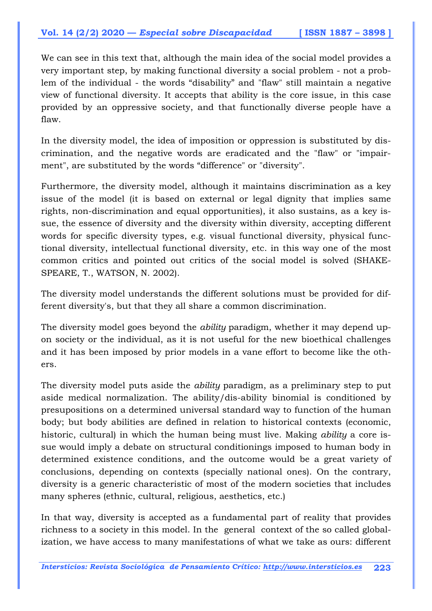We can see in this text that, although the main idea of the social model provides a very important step, by making functional diversity a social problem - not a problem of the individual - the words "disability" and "flaw" still maintain a negative view of functional diversity. It accepts that ability is the core issue, in this case provided by an oppressive society, and that functionally diverse people have a flaw.

In the diversity model, the idea of imposition or oppression is substituted by discrimination, and the negative words are eradicated and the "flaw" or "impairment", are substituted by the words "difference" or "diversity".

Furthermore, the diversity model, although it maintains discrimination as a key issue of the model (it is based on external or legal dignity that implies same rights, non-discrimination and equal opportunities), it also sustains, as a key issue, the essence of diversity and the diversity within diversity, accepting different words for specific diversity types, e.g. visual functional diversity, physical functional diversity, intellectual functional diversity, etc. in this way one of the most common critics and pointed out critics of the social model is solved (SHAKE-SPEARE, T., WATSON, N. 2002).

The diversity model understands the different solutions must be provided for different diversity's, but that they all share a common discrimination.

The diversity model goes beyond the *ability* paradigm, whether it may depend upon society or the individual, as it is not useful for the new bioethical challenges and it has been imposed by prior models in a vane effort to become like the others.

The diversity model puts aside the *ability* paradigm, as a preliminary step to put aside medical normalization. The ability/dis-ability binomial is conditioned by presupositions on a determined universal standard way to function of the human body; but body abilities are defined in relation to historical contexts (economic, historic, cultural) in which the human being must live. Making *ability* a core issue would imply a debate on structural conditionings imposed to human body in determined existence conditions, and the outcome would be a great variety of conclusions, depending on contexts (specially national ones). On the contrary, diversity is a generic characteristic of most of the modern societies that includes many spheres (ethnic, cultural, religious, aesthetics, etc.)

In that way, diversity is accepted as a fundamental part of reality that provides richness to a society in this model. In the general context of the so called globalization, we have access to many manifestations of what we take as ours: different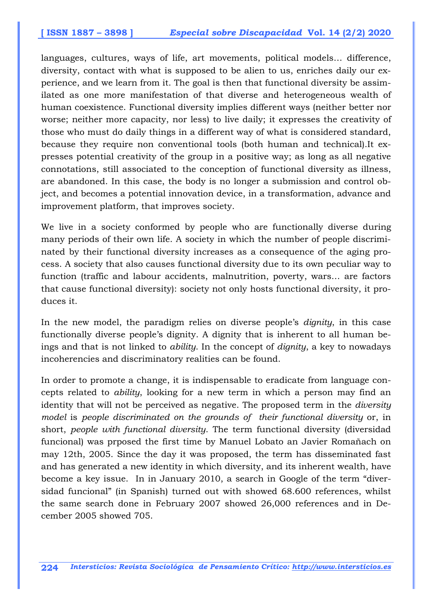languages, cultures, ways of life, art movements, political models… difference, diversity, contact with what is supposed to be alien to us, enriches daily our experience, and we learn from it. The goal is then that functional diversity be assimilated as one more manifestation of that diverse and heterogeneous wealth of human coexistence. Functional diversity implies different ways (neither better nor worse; neither more capacity, nor less) to live daily; it expresses the creativity of those who must do daily things in a different way of what is considered standard, because they require non conventional tools (both human and technical).It expresses potential creativity of the group in a positive way; as long as all negative connotations, still associated to the conception of functional diversity as illness, are abandoned. In this case, the body is no longer a submission and control object, and becomes a potential innovation device, in a transformation, advance and improvement platform, that improves society.

We live in a society conformed by people who are functionally diverse during many periods of their own life. A society in which the number of people discriminated by their functional diversity increases as a consequence of the aging process. A society that also causes functional diversity due to its own peculiar way to function (traffic and labour accidents, malnutrition, poverty, wars… are factors that cause functional diversity): society not only hosts functional diversity, it produces it.

In the new model, the paradigm relies on diverse people's *dignity*, in this case functionally diverse people's dignity. A dignity that is inherent to all human beings and that is not linked to *ability*. In the concept of *dignity*, a key to nowadays incoherencies and discriminatory realities can be found.

In order to promote a change, it is indispensable to eradicate from language concepts related to *ability*, looking for a new term in which a person may find an identity that will not be perceived as negative. The proposed term in the *diversity model* is *people discriminated on the grounds of their functional diversity* or, in short, *people with functional diversity*. The term functional diversity (diversidad funcional) was prposed the first time by Manuel Lobato an Javier Romañach on may 12th, 2005. Since the day it was proposed, the term has disseminated fast and has generated a new identity in which diversity, and its inherent wealth, have become a key issue. In in January 2010, a search in Google of the term "diversidad funcional" (in Spanish) turned out with showed 68.600 references, whilst the same search done in February 2007 showed 26,000 references and in December 2005 showed 705.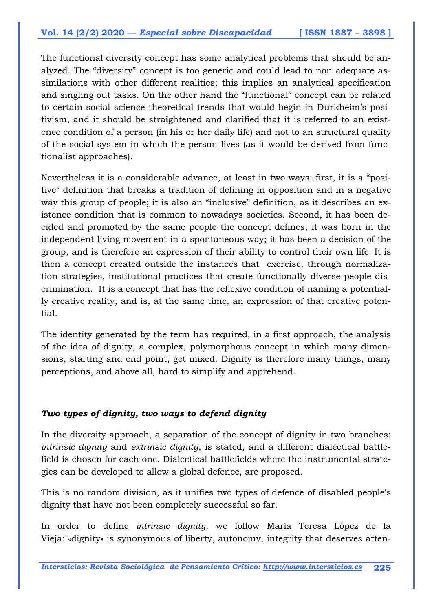The functional diversity concept has some analytical problems that should be analyzed. The "diversity" concept is too generic and could lead to non adequate assimilations with other different realities; this implies an analytical specification and singling out tasks. On the other hand the "functional" concept can be related to certain social science theoretical trends that would begin in Durkheim's positivism, and it should be straightened and clarified that it is referred to an existence condition of a person (in his or her daily life) and not to an structural quality of the social system in which the person lives (as it would be derived from functionalist approaches).

Nevertheless it is a considerable advance, at least in two ways: first, it is a "positive" definition that breaks a tradition of defining in opposition and in a negative way this group of people; it is also an "inclusive" definition, as it describes an existence condition that is common to nowadays societies. Second, it has been decided and promoted by the same people the concept defines; it was born in the independent living movement in a spontaneous way; it has been a decision of the group, and is therefore an expression of their ability to control their own life. It is then a concept created outside the instances that exercise, through normalization strategies, institutional practices that create functionally diverse people discrimination. It is a concept that has the reflexive condition of naming a potentially creative reality, and is, at the same time, an expression of that creative potential.

The identity generated by the term has required, in a first approach, the analysis of the idea of dignity, a complex, polymorphous concept in which many dimensions, starting and end point, get mixed. Dignity is therefore many things, many perceptions, and above all, hard to simplify and apprehend.

#### *Two types of dignity, two ways to defend dignity*

In the diversity approach, a separation of the concept of dignity in two branches: *intrinsic dignity* and *extrinsic dignity*, is stated, and a different dialectical battlefield is chosen for each one. Dialectical battlefields where the instrumental strategies can be developed to allow a global defence, are proposed.

This is no random division, as it unifies two types of defence of disabled people's dignity that have not been completely successful so far.

In order to define *intrinsic dignity*, we follow María Teresa López de la Vieja:"«dignity» is synonymous of liberty, autonomy, integrity that deserves atten-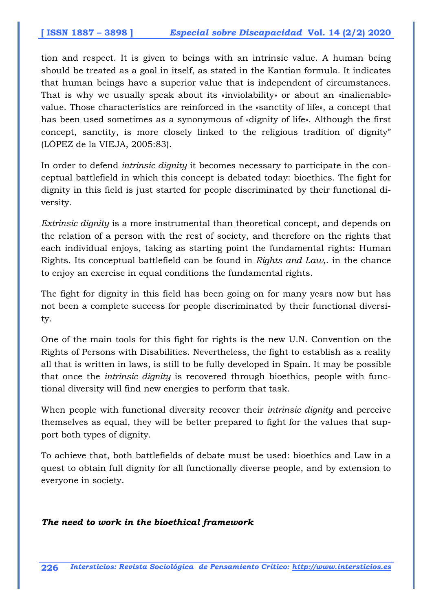tion and respect. It is given to beings with an intrinsic value. A human being should be treated as a goal in itself, as stated in the Kantian formula. It indicates that human beings have a superior value that is independent of circumstances. That is why we usually speak about its «inviolability» or about an «inalienable» value. Those characteristics are reinforced in the «sanctity of life», a concept that has been used sometimes as a synonymous of «dignity of life». Although the first concept, sanctity, is more closely linked to the religious tradition of dignity" (LÓPEZ de la VIEJA, 2005:83).

In order to defend *intrinsic dignity* it becomes necessary to participate in the conceptual battlefield in which this concept is debated today: bioethics. The fight for dignity in this field is just started for people discriminated by their functional diversity.

*Extrinsic dignity* is a more instrumental than theoretical concept, and depends on the relation of a person with the rest of society, and therefore on the rights that each individual enjoys, taking as starting point the fundamental rights: Human Rights. Its conceptual battlefield can be found in *Rights and Law*,. in the chance to enjoy an exercise in equal conditions the fundamental rights.

The fight for dignity in this field has been going on for many years now but has not been a complete success for people discriminated by their functional diversity.

One of the main tools for this fight for rights is the new U.N. Convention on the Rights of Persons with Disabilities. Nevertheless, the fight to establish as a reality all that is written in laws, is still to be fully developed in Spain. It may be possible that once the *intrinsic dignity* is recovered through bioethics, people with functional diversity will find new energies to perform that task.

When people with functional diversity recover their *intrinsic dignity* and perceive themselves as equal, they will be better prepared to fight for the values that support both types of dignity.

To achieve that, both battlefields of debate must be used: bioethics and Law in a quest to obtain full dignity for all functionally diverse people, and by extension to everyone in society.

#### *The need to work in the bioethical framework*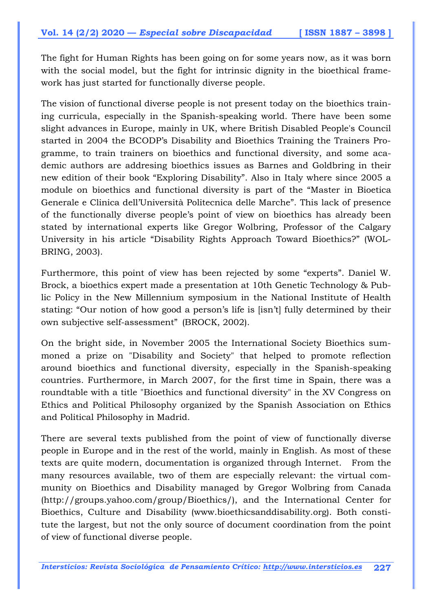The fight for Human Rights has been going on for some years now, as it was born with the social model, but the fight for intrinsic dignity in the bioethical framework has just started for functionally diverse people.

The vision of functional diverse people is not present today on the bioethics training curricula, especially in the Spanish-speaking world. There have been some slight advances in Europe, mainly in UK, where British Disabled People's Council started in 2004 the BCODP's Disability and Bioethics Training the Trainers Programme, to train trainers on bioethics and functional diversity, and some academic authors are addresing bioethics issues as Barnes and Goldbring in their new edition of their book "Exploring Disability". Also in Italy where since 2005 a module on bioethics and functional diversity is part of the "Master in Bioetica Generale e Clinica dell'Università Politecnica delle Marche". This lack of presence of the functionally diverse people's point of view on bioethics has already been stated by international experts like Gregor Wolbring, Professor of the Calgary University in his article "Disability Rights Approach Toward Bioethics?" (WOL-BRING, 2003).

Furthermore, this point of view has been rejected by some "experts". Daniel W. Brock, a bioethics expert made a presentation at 10th Genetic Technology & Public Policy in the New Millennium symposium in the National Institute of Health stating: "Our notion of how good a person's life is [isn't] fully determined by their own subjective self-assessment" (BROCK, 2002).

On the bright side, in November 2005 the International Society Bioethics summoned a prize on "Disability and Society" that helped to promote reflection around bioethics and functional diversity, especially in the Spanish-speaking countries. Furthermore, in March 2007, for the first time in Spain, there was a roundtable with a title "Bioethics and functional diversity" in the XV Congress on Ethics and Political Philosophy organized by the Spanish Association on Ethics and Political Philosophy in Madrid.

There are several texts published from the point of view of functionally diverse people in Europe and in the rest of the world, mainly in English. As most of these texts are quite modern, documentation is organized through Internet. From the many resources available, two of them are especially relevant: the virtual community on Bioethics and Disability managed by Gregor Wolbring from Canada (http://groups.yahoo.com/group/Bioethics/), and the International Center for Bioethics, Culture and Disability (www.bioethicsanddisability.org). Both constitute the largest, but not the only source of document coordination from the point of view of functional diverse people.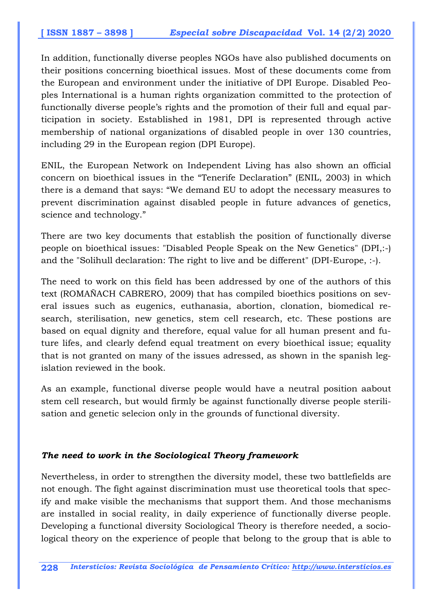In addition, functionally diverse peoples NGOs have also published documents on their positions concerning bioethical issues. Most of these documents come from the European and environment under the initiative of DPI Europe. Disabled Peoples International is a human rights organization committed to the protection of functionally diverse people's rights and the promotion of their full and equal participation in society. Established in 1981, DPI is represented through active membership of national organizations of disabled people in over 130 countries, including 29 in the European region (DPI Europe).

ENIL, the European Network on Independent Living has also shown an official concern on bioethical issues in the "Tenerife Declaration" (ENIL, 2003) in which there is a demand that says: "We demand EU to adopt the necessary measures to prevent discrimination against disabled people in future advances of genetics, science and technology."

There are two key documents that establish the position of functionally diverse people on bioethical issues: "Disabled People Speak on the New Genetics" (DPI,:-) and the "Solihull declaration: The right to live and be different" (DPI-Europe, :-).

The need to work on this field has been addressed by one of the authors of this text (ROMAÑACH CABRERO, 2009) that has compiled bioethics positions on several issues such as eugenics, euthanasia, abortion, clonation, biomedical research, sterilisation, new genetics, stem cell research, etc. These postions are based on equal dignity and therefore, equal value for all human present and future lifes, and clearly defend equal treatment on every bioethical issue; equality that is not granted on many of the issues adressed, as shown in the spanish legislation reviewed in the book.

As an example, functional diverse people would have a neutral position aabout stem cell research, but would firmly be against functionally diverse people sterilisation and genetic selecion only in the grounds of functional diversity.

#### *The need to work in the Sociological Theory framework*

Nevertheless, in order to strengthen the diversity model, these two battlefields are not enough. The fight against discrimination must use theoretical tools that specify and make visible the mechanisms that support them. And those mechanisms are installed in social reality, in daily experience of functionally diverse people. Developing a functional diversity Sociological Theory is therefore needed, a sociological theory on the experience of people that belong to the group that is able to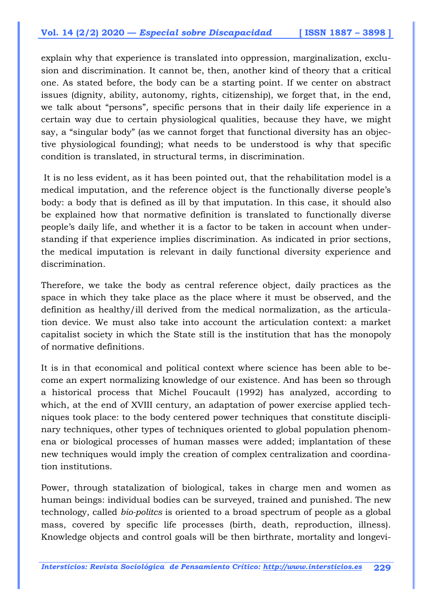explain why that experience is translated into oppression, marginalization, exclusion and discrimination. It cannot be, then, another kind of theory that a critical one. As stated before, the body can be a starting point. If we center on abstract issues (dignity, ability, autonomy, rights, citizenship), we forget that, in the end, we talk about "persons", specific persons that in their daily life experience in a certain way due to certain physiological qualities, because they have, we might say, a "singular body" (as we cannot forget that functional diversity has an objective physiological founding); what needs to be understood is why that specific condition is translated, in structural terms, in discrimination.

 It is no less evident, as it has been pointed out, that the rehabilitation model is a medical imputation, and the reference object is the functionally diverse people's body: a body that is defined as ill by that imputation. In this case, it should also be explained how that normative definition is translated to functionally diverse people's daily life, and whether it is a factor to be taken in account when understanding if that experience implies discrimination. As indicated in prior sections, the medical imputation is relevant in daily functional diversity experience and discrimination.

Therefore, we take the body as central reference object, daily practices as the space in which they take place as the place where it must be observed, and the definition as healthy/ill derived from the medical normalization, as the articulation device. We must also take into account the articulation context: a market capitalist society in which the State still is the institution that has the monopoly of normative definitions.

It is in that economical and political context where science has been able to become an expert normalizing knowledge of our existence. And has been so through a historical process that Michel Foucault (1992) has analyzed, according to which, at the end of XVIII century, an adaptation of power exercise applied techniques took place: to the body centered power techniques that constitute disciplinary techniques, other types of techniques oriented to global population phenomena or biological processes of human masses were added; implantation of these new techniques would imply the creation of complex centralization and coordination institutions.

Power, through statalization of biological, takes in charge men and women as human beings: individual bodies can be surveyed, trained and punished. The new technology, called *bio-politcs* is oriented to a broad spectrum of people as a global mass, covered by specific life processes (birth, death, reproduction, illness). Knowledge objects and control goals will be then birthrate, mortality and longevi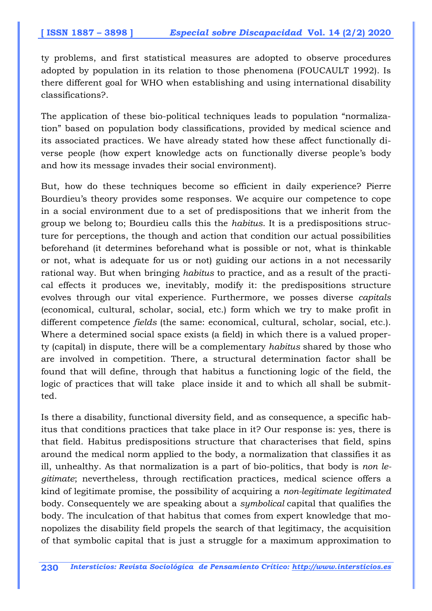ty problems, and first statistical measures are adopted to observe procedures adopted by population in its relation to those phenomena (FOUCAULT 1992). Is there different goal for WHO when establishing and using international disability classifications?.

The application of these bio-political techniques leads to population "normalization" based on population body classifications, provided by medical science and its associated practices. We have already stated how these affect functionally diverse people (how expert knowledge acts on functionally diverse people's body and how its message invades their social environment).

But, how do these techniques become so efficient in daily experience? Pierre Bourdieu's theory provides some responses. We acquire our competence to cope in a social environment due to a set of predispositions that we inherit from the group we belong to; Bourdieu calls this the *habitus*. It is a predispositions structure for perceptions, the though and action that condition our actual possibilities beforehand (it determines beforehand what is possible or not, what is thinkable or not, what is adequate for us or not) guiding our actions in a not necessarily rational way. But when bringing *habitus* to practice, and as a result of the practical effects it produces we, inevitably, modify it: the predispositions structure evolves through our vital experience. Furthermore, we posses diverse *capitals*  (economical, cultural, scholar, social, etc.) form which we try to make profit in different competence *fields* (the same: economical, cultural, scholar, social, etc.). Where a determined social space exists (a field) in which there is a valued property (capital) in dispute, there will be a complementary *habitus* shared by those who are involved in competition. There, a structural determination factor shall be found that will define, through that habitus a functioning logic of the field, the logic of practices that will take place inside it and to which all shall be submitted.

Is there a disability, functional diversity field, and as consequence, a specific habitus that conditions practices that take place in it? Our response is: yes, there is that field. Habitus predispositions structure that characterises that field, spins around the medical norm applied to the body, a normalization that classifies it as ill, unhealthy. As that normalization is a part of bio-politics, that body is *non legitimate*; nevertheless, through rectification practices, medical science offers a kind of legitimate promise, the possibility of acquiring a *non-legitimate legitimated*  body. Consequentely we are speaking about a *symbolical* capital that qualifies the body. The inculcation of that habitus that comes from expert knowledge that monopolizes the disability field propels the search of that legitimacy, the acquisition of that symbolic capital that is just a struggle for a maximum approximation to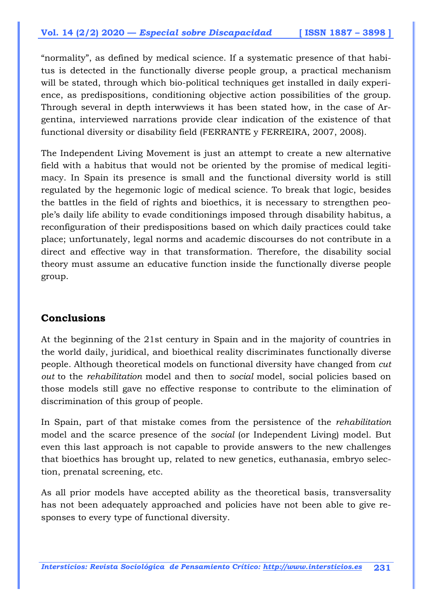"normality", as defined by medical science. If a systematic presence of that habitus is detected in the functionally diverse people group, a practical mechanism will be stated, through which bio-political techniques get installed in daily experience, as predispositions, conditioning objective action possibilities of the group. Through several in depth interwviews it has been stated how, in the case of Argentina, interviewed narrations provide clear indication of the existence of that functional diversity or disability field (FERRANTE y FERREIRA, 2007, 2008).

The Independent Living Movement is just an attempt to create a new alternative field with a habitus that would not be oriented by the promise of medical legitimacy. In Spain its presence is small and the functional diversity world is still regulated by the hegemonic logic of medical science. To break that logic, besides the battles in the field of rights and bioethics, it is necessary to strengthen people's daily life ability to evade conditionings imposed through disability habitus, a reconfiguration of their predispositions based on which daily practices could take place; unfortunately, legal norms and academic discourses do not contribute in a direct and effective way in that transformation. Therefore, the disability social theory must assume an educative function inside the functionally diverse people group.

### **Conclusions**

At the beginning of the 21st century in Spain and in the majority of countries in the world daily, juridical, and bioethical reality discriminates functionally diverse people. Although theoretical models on functional diversity have changed from *cut out* to the *rehabilitation* model and then to *social* model, social policies based on those models still gave no effective response to contribute to the elimination of discrimination of this group of people.

In Spain, part of that mistake comes from the persistence of the *rehabilitation* model and the scarce presence of the *social* (or Independent Living) model. But even this last approach is not capable to provide answers to the new challenges that bioethics has brought up, related to new genetics, euthanasia, embryo selection, prenatal screening, etc.

As all prior models have accepted ability as the theoretical basis, transversality has not been adequately approached and policies have not been able to give responses to every type of functional diversity.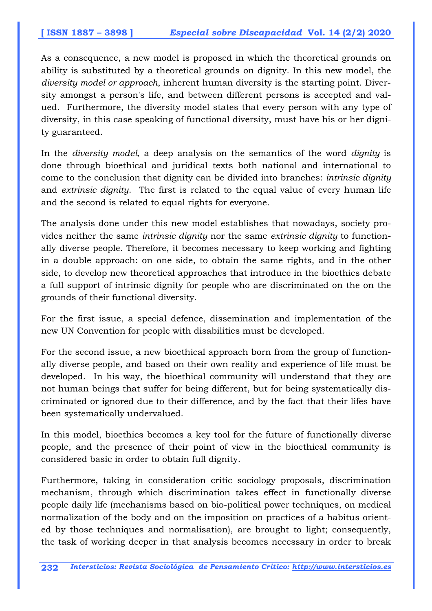As a consequence, a new model is proposed in which the theoretical grounds on ability is substituted by a theoretical grounds on dignity. In this new model, the *diversity model or approach*, inherent human diversity is the starting point. Diversity amongst a person's life, and between different persons is accepted and valued. Furthermore, the diversity model states that every person with any type of diversity, in this case speaking of functional diversity, must have his or her dignity guaranteed.

In the *diversity model*, a deep analysis on the semantics of the word *dignity* is done through bioethical and juridical texts both national and international to come to the conclusion that dignity can be divided into branches: *intrinsic dignity*  and *extrinsic dignity*. The first is related to the equal value of every human life and the second is related to equal rights for everyone.

The analysis done under this new model establishes that nowadays, society provides neither the same *intrinsic dignity* nor the same *extrinsic dignity* to functionally diverse people. Therefore, it becomes necessary to keep working and fighting in a double approach: on one side, to obtain the same rights, and in the other side, to develop new theoretical approaches that introduce in the bioethics debate a full support of intrinsic dignity for people who are discriminated on the on the grounds of their functional diversity.

For the first issue, a special defence, dissemination and implementation of the new UN Convention for people with disabilities must be developed.

For the second issue, a new bioethical approach born from the group of functionally diverse people, and based on their own reality and experience of life must be developed. In his way, the bioethical community will understand that they are not human beings that suffer for being different, but for being systematically discriminated or ignored due to their difference, and by the fact that their lifes have been systematically undervalued.

In this model, bioethics becomes a key tool for the future of functionally diverse people, and the presence of their point of view in the bioethical community is considered basic in order to obtain full dignity.

Furthermore, taking in consideration critic sociology proposals, discrimination mechanism, through which discrimination takes effect in functionally diverse people daily life (mechanisms based on bio-political power techniques, on medical normalization of the body and on the imposition on practices of a habitus oriented by those techniques and normalisation), are brought to light; consequently, the task of working deeper in that analysis becomes necessary in order to break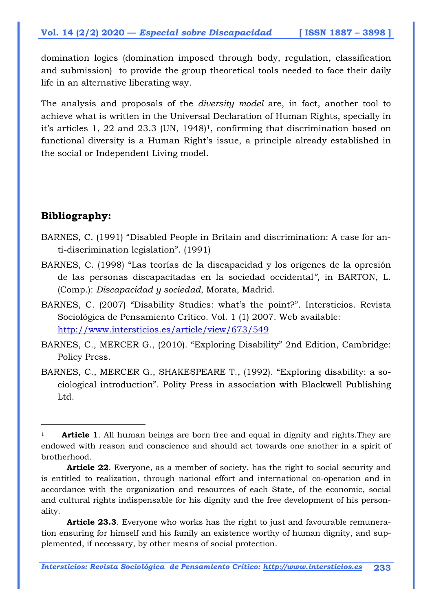domination logics (domination imposed through body, regulation, classification and submission) to provide the group theoretical tools needed to face their daily life in an alternative liberating way.

The analysis and proposals of the *diversity model* are, in fact, another tool to achieve what is written in the Universal Declaration of Human Rights, specially in it's articles 1, 22 and 23.3 (UN, 1948)<sup>1</sup>, confirming that discrimination based on functional diversity is a Human Right's issue, a principle already established in the social or Independent Living model.

### **Bibliography:**

 $\overline{a}$ 

- BARNES, C. (1991) "Disabled People in Britain and discrimination: A case for anti-discrimination legislation". (1991)
- BARNES, C. (1998) "Las teorías de la discapacidad y los orígenes de la opresión de las personas discapacitadas en la sociedad occidental*",* in BARTON, L. (Comp.): *Discapacidad y sociedad*, Morata, Madrid.
- BARNES, C. (2007) "Disability Studies: what's the point?". Intersticios. Revista Sociológica de Pensamiento Crítico. Vol. 1 (1) 2007. Web available: http://www.intersticios.es/article/view/673/549
- BARNES, C., MERCER G., (2010). "Exploring Disability" 2nd Edition, Cambridge: Policy Press.
- BARNES, C., MERCER G., SHAKESPEARE T., (1992). "Exploring disability: a sociological introduction". Polity Press in association with Blackwell Publishing Ltd.

**Article 23.3**. Everyone who works has the right to just and favourable remuneration ensuring for himself and his family an existence worthy of human dignity, and supplemented, if necessary, by other means of social protection.

*Intersticios: Revista Sociológica de Pensamiento Crítico: http://www.intersticios.es* **233**

<sup>&</sup>lt;sup>1</sup> **Article 1**. All human beings are born free and equal in dignity and rights. They are endowed with reason and conscience and should act towards one another in a spirit of brotherhood.

**Article 22**. Everyone, as a member of society, has the right to social security and is entitled to realization, through national effort and international co-operation and in accordance with the organization and resources of each State, of the economic, social and cultural rights indispensable for his dignity and the free development of his personality.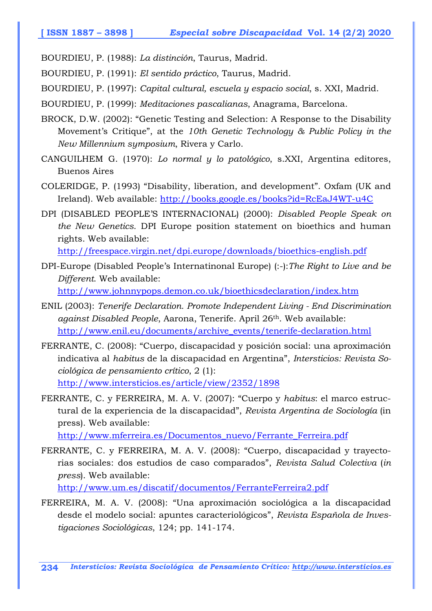BOURDIEU, P. (1988): *La distinción*, Taurus, Madrid.

BOURDIEU, P. (1991): *El sentido práctico*, Taurus, Madrid.

BOURDIEU, P. (1997): *Capital cultural, escuela y espacio social*, s. XXI, Madrid.

BOURDIEU, P. (1999): *Meditaciones pascalianas*, Anagrama, Barcelona.

- BROCK, D.W. (2002): "Genetic Testing and Selection: A Response to the Disability Movement's Critique", at the *10th Genetic Technology & Public Policy in the New Millennium symposium*, Rivera y Carlo.
- CANGUILHEM G. (1970): *Lo normal y lo patológico*, s.XXI, Argentina editores, Buenos Aires
- COLERIDGE, P. (1993) "Disability, liberation, and development". Oxfam (UK and Ireland). Web available: http://books.google.es/books?id=RcEaJ4WT-u4C
- DPI (DISABLED PEOPLE'S INTERNACIONAL) (2000): *Disabled People Speak on the New Genetics.* DPI Europe position statement on bioethics and human rights. Web available:

http://freespace.virgin.net/dpi.europe/downloads/bioethics-english.pdf

- DPI-Europe (Disabled People's Internatinonal Europe) (:-):*The Right to Live and be Different*. Web available: http://www.johnnypops.demon.co.uk/bioethicsdeclaration/index.htm
- ENIL (2003): *Tenerife Declaration. Promote Independent Living End Discrimination against Disabled People*, Aarona, Tenerife. April 26th. Web available: http://www.enil.eu/documents/archive\_events/tenerife-declaration.html
- FERRANTE, C. (2008): "Cuerpo, discapacidad y posición social: una aproximación indicativa al *habitus* de la discapacidad en Argentina", *Intersticios: Revista Sociológica de pensamiento crítico*, 2 (1): http://www.intersticios.es/article/view/2352/1898
- FERRANTE, C. y FERREIRA, M. A. V. (2007): "Cuerpo y *habitus*: el marco estructural de la experiencia de la discapacidad", *Revista Argentina de Sociología* (in press). Web available:

http://www.mferreira.es/Documentos\_nuevo/Ferrante\_Ferreira.pdf

FERRANTE, C. y FERREIRA, M. A. V. (2008): "Cuerpo, discapacidad y trayectorias sociales: dos estudios de caso comparados", *Revista Salud Colectiva* (*in press*). Web available:

http://www.um.es/discatif/documentos/FerranteFerreira2.pdf

FERREIRA, M. A. V. (2008): "Una aproximación sociológica a la discapacidad desde el modelo social: apuntes caracteriológicos", *Revista Española de Investigaciones Sociológicas*, 124; pp. 141-174.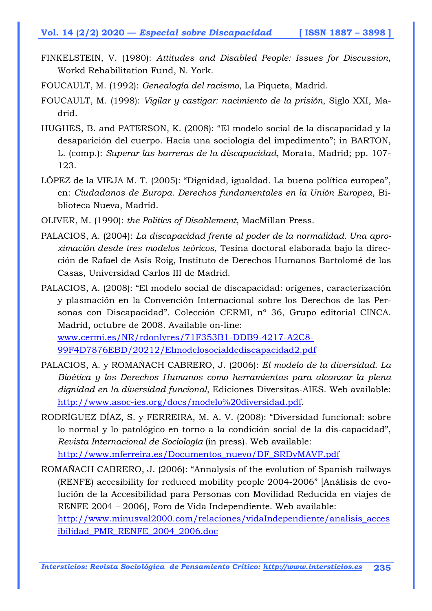- FINKELSTEIN, V. (1980): *Attitudes and Disabled People: Issues for Discussion*, Workd Rehabilitation Fund, N. York.
- FOUCAULT, M. (1992): *Genealogía del racismo*, La Piqueta, Madrid.
- FOUCAULT, M. (1998): *Vigilar y castigar: nacimiento de la prisión*, Siglo XXI, Madrid.
- HUGHES, B. and PATERSON, K. (2008): "El modelo social de la discapacidad y la desaparición del cuerpo. Hacia una sociología del impedimento"; in BARTON, L. (comp.): *Superar las barreras de la discapacidad*, Morata, Madrid; pp. 107- 123.
- LÓPEZ de la VIEJA M. T. (2005): "Dignidad, igualdad. La buena política europea", en: *Ciudadanos de Europa. Derechos fundamentales en la Unión Europea*, Biblioteca Nueva, Madrid.
- OLIVER, M. (1990): *the Politics of Disablement*, MacMillan Press.
- PALACIOS, A. (2004): *La discapacidad frente al poder de la normalidad. Una aproximación desde tres modelos teóricos*, Tesina doctoral elaborada bajo la dirección de Rafael de Asís Roig, Instituto de Derechos Humanos Bartolomé de las Casas, Universidad Carlos III de Madrid.
- PALACIOS, A. (2008): "El modelo social de discapacidad: orígenes, caracterización y plasmación en la Convención Internacional sobre los Derechos de las Personas con Discapacidad". Colección CERMI, nº 36, Grupo editorial CINCA. Madrid, octubre de 2008. Available on-line: www.cermi.es/NR/rdonlyres/71F353B1-DDB9-4217-A2C8- 99F4D7876EBD/20212/Elmodelosocialdediscapacidad2.pdf
- PALACIOS, A. y ROMAÑACH CABRERO, J. (2006): *El modelo de la diversidad. La Bioética y los Derechos Humanos como herramientas para alcanzar la plena dignidad en la diversidad funcional*, Ediciones Diversitas-AIES. Web available: http://www.asoc-ies.org/docs/modelo%20diversidad.pdf.
- RODRÍGUEZ DÍAZ, S. y FERREIRA, M. A. V. (2008): "Diversidad funcional: sobre lo normal y lo patológico en torno a la condición social de la dis-capacidad", *Revista Internacional de Sociología* (in press). Web available: http://www.mferreira.es/Documentos\_nuevo/DF\_SRDyMAVF.pdf
- ROMAÑACH CABRERO, J. (2006): "Annalysis of the evolution of Spanish railways (RENFE) accesibility for reduced mobility people 2004-2006" [Análisis de evolución de la Accesibilidad para Personas con Movilidad Reducida en viajes de RENFE 2004 – 2006], Foro de Vida Independiente. Web available:

http://www.minusval2000.com/relaciones/vidaIndependiente/analisis\_acces ibilidad\_PMR\_RENFE\_2004\_2006.doc